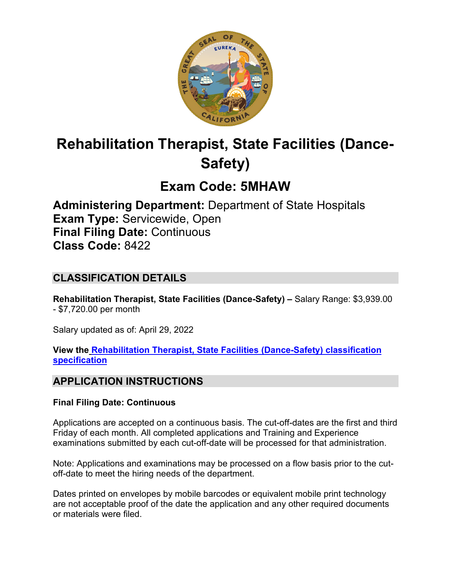

# **Rehabilitation Therapist, State Facilities (Dance-Safety)**

# **Exam Code: 5MHAW**

**Administering Department:** Department of State Hospitals **Exam Type:** Servicewide, Open **Final Filing Date:** Continuous **Class Code:** 8422

# **CLASSIFICATION DETAILS**

**Rehabilitation Therapist, State Facilities (Dance-Safety) –** Salary Range: \$3,939.00 - \$7,720.00 per month

Salary updated as of: April 29, 2022

**View the [Rehabilitation Therapist, State Facilities \(Dance-Safety\) classification](https://www.calhr.ca.gov/state-hr-professionals/pages/8420.aspx)  [specification](https://www.calhr.ca.gov/state-hr-professionals/pages/8420.aspx)**

# **APPLICATION INSTRUCTIONS**

## **Final Filing Date: Continuous**

Applications are accepted on a continuous basis. The cut-off-dates are the first and third Friday of each month. All completed applications and Training and Experience examinations submitted by each cut-off-date will be processed for that administration.

Note: Applications and examinations may be processed on a flow basis prior to the cutoff-date to meet the hiring needs of the department.

Dates printed on envelopes by mobile barcodes or equivalent mobile print technology are not acceptable proof of the date the application and any other required documents or materials were filed.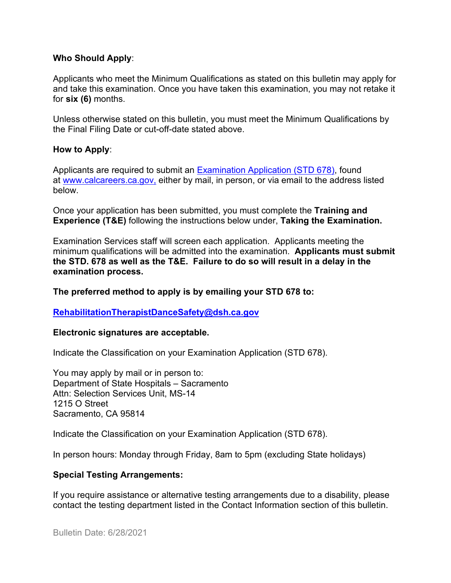#### **Who Should Apply**:

Applicants who meet the Minimum Qualifications as stated on this bulletin may apply for and take this examination. Once you have taken this examination, you may not retake it for **six (6)** months.

Unless otherwise stated on this bulletin, you must meet the Minimum Qualifications by the Final Filing Date or cut-off-date stated above.

#### **How to Apply**:

Applicants are required to submit an [Examination Application \(STD 678\),](https://jobs.ca.gov/pdf/std678.pdf) found at [www.calcareers.ca.gov,](http://www.calcareers.ca.gov/) either by mail, in person, or via email to the address listed below.

Once your application has been submitted, you must complete the **Training and Experience (T&E)** following the instructions below under, **Taking the Examination.**

Examination Services staff will screen each application. Applicants meeting the minimum qualifications will be admitted into the examination. **Applicants must submit the STD. 678 as well as the T&E. Failure to do so will result in a delay in the examination process.**

**The preferred method to apply is by emailing your STD 678 to:**

### **[RehabilitationTherapistDanceSafety@dsh.ca.gov](mailto:RehabilitationTherapistDanceSafety@dsh.ca.gov)**

#### **Electronic signatures are acceptable.**

Indicate the Classification on your Examination Application (STD 678).

You may apply by mail or in person to: Department of State Hospitals – Sacramento Attn: Selection Services Unit, MS-14 1215 O Street Sacramento, CA 95814

Indicate the Classification on your Examination Application (STD 678).

In person hours: Monday through Friday, 8am to 5pm (excluding State holidays)

### **Special Testing Arrangements:**

If you require assistance or alternative testing arrangements due to a disability, please contact the testing department listed in the Contact Information section of this bulletin.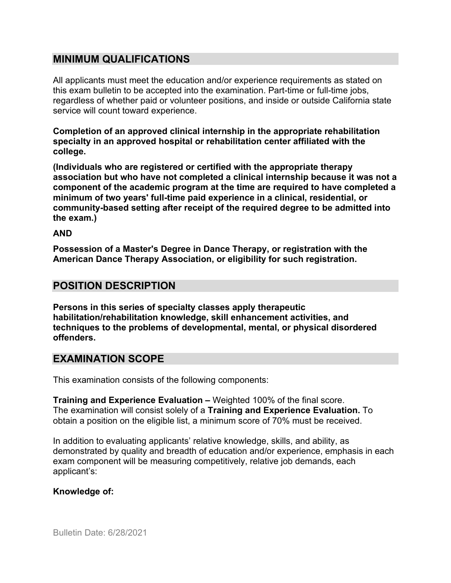## **MINIMUM QUALIFICATIONS**

All applicants must meet the education and/or experience requirements as stated on this exam bulletin to be accepted into the examination. Part-time or full-time jobs, regardless of whether paid or volunteer positions, and inside or outside California state service will count toward experience.

**Completion of an approved clinical internship in the appropriate rehabilitation specialty in an approved hospital or rehabilitation center affiliated with the college.**

**(Individuals who are registered or certified with the appropriate therapy association but who have not completed a clinical internship because it was not a component of the academic program at the time are required to have completed a minimum of two years' full-time paid experience in a clinical, residential, or community-based setting after receipt of the required degree to be admitted into the exam.)**

#### **AND**

**Possession of a Master's Degree in Dance Therapy, or registration with the American Dance Therapy Association, or eligibility for such registration.**

## **POSITION DESCRIPTION**

**Persons in this series of specialty classes apply therapeutic habilitation/rehabilitation knowledge, skill enhancement activities, and techniques to the problems of developmental, mental, or physical disordered offenders.**

## **EXAMINATION SCOPE**

This examination consists of the following components:

**Training and Experience Evaluation –** Weighted 100% of the final score. The examination will consist solely of a **Training and Experience Evaluation.** To obtain a position on the eligible list, a minimum score of 70% must be received.

In addition to evaluating applicants' relative knowledge, skills, and ability, as demonstrated by quality and breadth of education and/or experience, emphasis in each exam component will be measuring competitively, relative job demands, each applicant's:

## **Knowledge of:**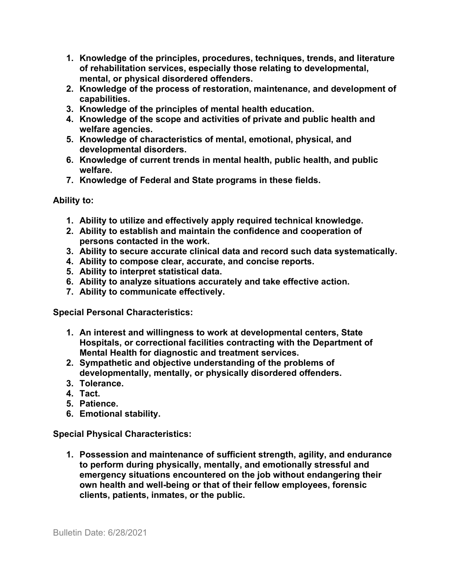- **1. Knowledge of the principles, procedures, techniques, trends, and literature of rehabilitation services, especially those relating to developmental, mental, or physical disordered offenders.**
- **2. Knowledge of the process of restoration, maintenance, and development of capabilities.**
- **3. Knowledge of the principles of mental health education.**
- **4. Knowledge of the scope and activities of private and public health and welfare agencies.**
- **5. Knowledge of characteristics of mental, emotional, physical, and developmental disorders.**
- **6. Knowledge of current trends in mental health, public health, and public welfare.**
- **7. Knowledge of Federal and State programs in these fields.**

## **Ability to:**

- **1. Ability to utilize and effectively apply required technical knowledge.**
- **2. Ability to establish and maintain the confidence and cooperation of persons contacted in the work.**
- **3. Ability to secure accurate clinical data and record such data systematically.**
- **4. Ability to compose clear, accurate, and concise reports.**
- **5. Ability to interpret statistical data.**
- **6. Ability to analyze situations accurately and take effective action.**
- **7. Ability to communicate effectively.**

**Special Personal Characteristics:**

- **1. An interest and willingness to work at developmental centers, State Hospitals, or correctional facilities contracting with the Department of Mental Health for diagnostic and treatment services.**
- **2. Sympathetic and objective understanding of the problems of developmentally, mentally, or physically disordered offenders.**
- **3. Tolerance.**
- **4. Tact.**
- **5. Patience.**
- **6. Emotional stability.**

**Special Physical Characteristics:**

**1. Possession and maintenance of sufficient strength, agility, and endurance to perform during physically, mentally, and emotionally stressful and emergency situations encountered on the job without endangering their own health and well-being or that of their fellow employees, forensic clients, patients, inmates, or the public.**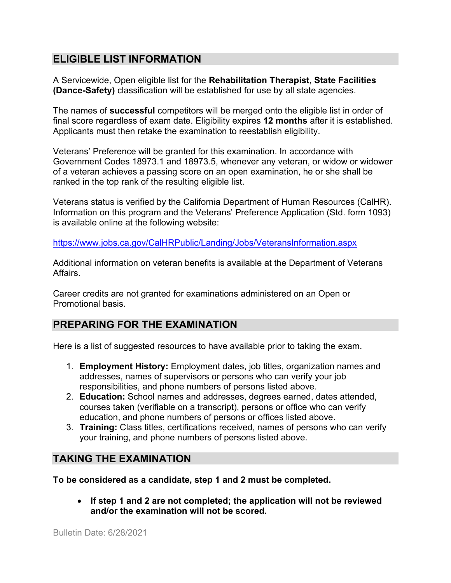# **ELIGIBLE LIST INFORMATION**

A Servicewide, Open eligible list for the **Rehabilitation Therapist, State Facilities (Dance-Safety)** classification will be established for use by all state agencies.

The names of **successful** competitors will be merged onto the eligible list in order of final score regardless of exam date. Eligibility expires **12 months** after it is established. Applicants must then retake the examination to reestablish eligibility.

Veterans' Preference will be granted for this examination. In accordance with Government Codes 18973.1 and 18973.5, whenever any veteran, or widow or widower of a veteran achieves a passing score on an open examination, he or she shall be ranked in the top rank of the resulting eligible list.

Veterans status is verified by the California Department of Human Resources (CalHR). Information on this program and the Veterans' Preference Application (Std. form 1093) is available online at the following website:

<https://www.jobs.ca.gov/CalHRPublic/Landing/Jobs/VeteransInformation.aspx>

Additional information on veteran benefits is available at the Department of Veterans Affairs.

Career credits are not granted for examinations administered on an Open or Promotional basis.

# **PREPARING FOR THE EXAMINATION**

Here is a list of suggested resources to have available prior to taking the exam.

- 1. **Employment History:** Employment dates, job titles, organization names and addresses, names of supervisors or persons who can verify your job responsibilities, and phone numbers of persons listed above.
- 2. **Education:** School names and addresses, degrees earned, dates attended, courses taken (verifiable on a transcript), persons or office who can verify education, and phone numbers of persons or offices listed above.
- 3. **Training:** Class titles, certifications received, names of persons who can verify your training, and phone numbers of persons listed above.

# **TAKING THE EXAMINATION**

**To be considered as a candidate, step 1 and 2 must be completed.**

• **If step 1 and 2 are not completed; the application will not be reviewed and/or the examination will not be scored.**

Bulletin Date: 6/28/2021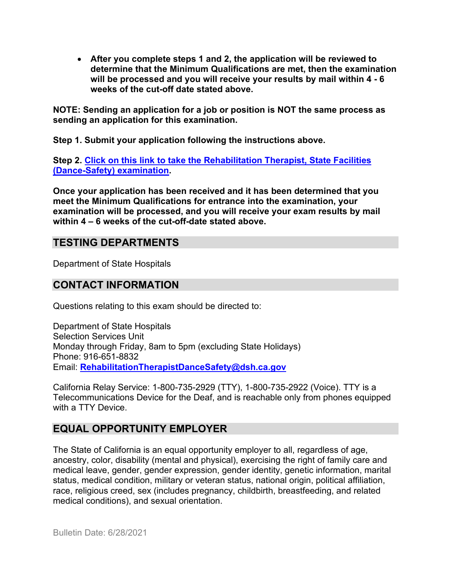• **After you complete steps 1 and 2, the application will be reviewed to determine that the Minimum Qualifications are met, then the examination will be processed and you will receive your results by mail within 4 - 6 weeks of the cut-off date stated above.**

**NOTE: Sending an application for a job or position is NOT the same process as sending an application for this examination.**

**Step 1. Submit your application following the instructions above.**

**Step 2. [Click on this link to take the Rehabilitation Therapist, State Facilities](https://www.surveymonkey.com/r/H7KFQTQ)  [\(Dance-Safety\)](https://www.surveymonkey.com/r/H7KFQTQ) examination.** 

**Once your application has been received and it has been determined that you meet the Minimum Qualifications for entrance into the examination, your examination will be processed, and you will receive your exam results by mail within 4 – 6 weeks of the cut-off-date stated above.** 

# **TESTING DEPARTMENTS**

Department of State Hospitals

## **CONTACT INFORMATION**

Questions relating to this exam should be directed to:

Department of State Hospitals Selection Services Unit Monday through Friday, 8am to 5pm (excluding State Holidays) Phone: 916-651-8832 Email: **[RehabilitationTherapistDanceSafety@dsh.ca.gov](mailto:RehabilitationTherapistDanceSafety@dsh.ca.gov)**

California Relay Service: 1-800-735-2929 (TTY), 1-800-735-2922 (Voice). TTY is a Telecommunications Device for the Deaf, and is reachable only from phones equipped with a TTY Device.

# **EQUAL OPPORTUNITY EMPLOYER**

The State of California is an equal opportunity employer to all, regardless of age, ancestry, color, disability (mental and physical), exercising the right of family care and medical leave, gender, gender expression, gender identity, genetic information, marital status, medical condition, military or veteran status, national origin, political affiliation, race, religious creed, sex (includes pregnancy, childbirth, breastfeeding, and related medical conditions), and sexual orientation.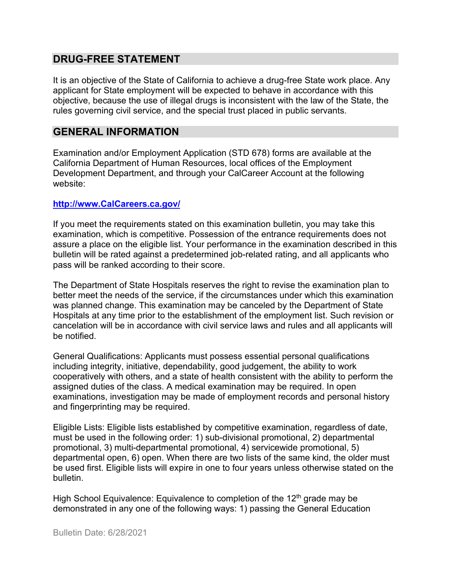## **DRUG-FREE STATEMENT**

It is an objective of the State of California to achieve a drug-free State work place. Any applicant for State employment will be expected to behave in accordance with this objective, because the use of illegal drugs is inconsistent with the law of the State, the rules governing civil service, and the special trust placed in public servants.

## **GENERAL INFORMATION**

Examination and/or Employment Application (STD 678) forms are available at the California Department of Human Resources, local offices of the Employment Development Department, and through your CalCareer Account at the following website:

#### **http://www.CalCareers.ca.gov/**

If you meet the requirements stated on this examination bulletin, you may take this examination, which is competitive. Possession of the entrance requirements does not assure a place on the eligible list. Your performance in the examination described in this bulletin will be rated against a predetermined job-related rating, and all applicants who pass will be ranked according to their score.

The Department of State Hospitals reserves the right to revise the examination plan to better meet the needs of the service, if the circumstances under which this examination was planned change. This examination may be canceled by the Department of State Hospitals at any time prior to the establishment of the employment list. Such revision or cancelation will be in accordance with civil service laws and rules and all applicants will be notified.

General Qualifications: Applicants must possess essential personal qualifications including integrity, initiative, dependability, good judgement, the ability to work cooperatively with others, and a state of health consistent with the ability to perform the assigned duties of the class. A medical examination may be required. In open examinations, investigation may be made of employment records and personal history and fingerprinting may be required.

Eligible Lists: Eligible lists established by competitive examination, regardless of date, must be used in the following order: 1) sub-divisional promotional, 2) departmental promotional, 3) multi-departmental promotional, 4) servicewide promotional, 5) departmental open, 6) open. When there are two lists of the same kind, the older must be used first. Eligible lists will expire in one to four years unless otherwise stated on the bulletin.

High School Equivalence: Equivalence to completion of the  $12<sup>th</sup>$  grade may be demonstrated in any one of the following ways: 1) passing the General Education